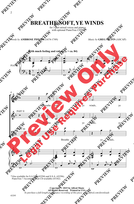## **BREATHE SOFT, YE WINDS**

for 3-part mixed voices and piano with optional PianoTrax CD\*

*Words by* **AMBROSE PHILIPS** (1674-1749)

*Music by* **GREG GILPIN** (ASCAP)



\*Also available for S.A.T.B. (43294) and S.S.A. (43296). PianoTrax 7 Accompaniment CD available (43182).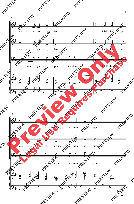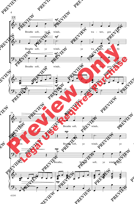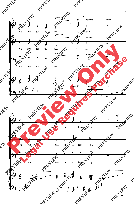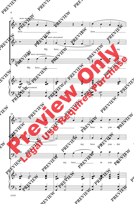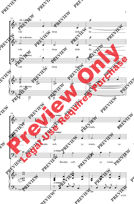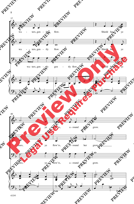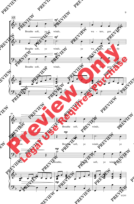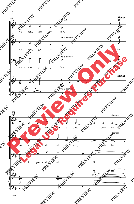